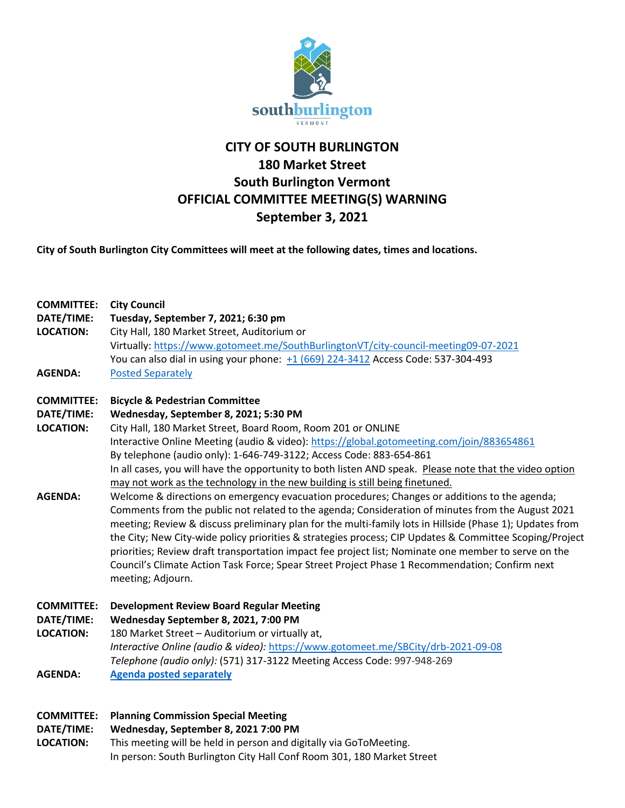

# **CITY OF SOUTH BURLINGTON 180 Market Street South Burlington Vermont OFFICIAL COMMITTEE MEETING(S) WARNING September 3, 2021**

**City of South Burlington City Committees will meet at the following dates, times and locations.** 

| <b>COMMITTEE:</b><br>DATE/TIME:<br><b>LOCATION:</b> | <b>City Council</b><br>Tuesday, September 7, 2021; 6:30 pm<br>City Hall, 180 Market Street, Auditorium or<br>Virtually: https://www.gotomeet.me/SouthBurlingtonVT/city-council-meeting09-07-2021<br>You can also dial in using your phone: +1 (669) 224-3412 Access Code: 537-304-493                                                                                                                                                                                                                                                                                                                                                                   |
|-----------------------------------------------------|---------------------------------------------------------------------------------------------------------------------------------------------------------------------------------------------------------------------------------------------------------------------------------------------------------------------------------------------------------------------------------------------------------------------------------------------------------------------------------------------------------------------------------------------------------------------------------------------------------------------------------------------------------|
| <b>AGENDA:</b>                                      | <b>Posted Separately</b>                                                                                                                                                                                                                                                                                                                                                                                                                                                                                                                                                                                                                                |
| <b>COMMITTEE:</b>                                   | <b>Bicycle &amp; Pedestrian Committee</b>                                                                                                                                                                                                                                                                                                                                                                                                                                                                                                                                                                                                               |
| DATE/TIME:                                          | Wednesday, September 8, 2021; 5:30 PM                                                                                                                                                                                                                                                                                                                                                                                                                                                                                                                                                                                                                   |
| <b>LOCATION:</b>                                    | City Hall, 180 Market Street, Board Room, Room 201 or ONLINE                                                                                                                                                                                                                                                                                                                                                                                                                                                                                                                                                                                            |
|                                                     | Interactive Online Meeting (audio & video): https://global.gotomeeting.com/join/883654861                                                                                                                                                                                                                                                                                                                                                                                                                                                                                                                                                               |
|                                                     | By telephone (audio only): 1-646-749-3122; Access Code: 883-654-861                                                                                                                                                                                                                                                                                                                                                                                                                                                                                                                                                                                     |
|                                                     | In all cases, you will have the opportunity to both listen AND speak. Please note that the video option                                                                                                                                                                                                                                                                                                                                                                                                                                                                                                                                                 |
|                                                     | may not work as the technology in the new building is still being finetuned.                                                                                                                                                                                                                                                                                                                                                                                                                                                                                                                                                                            |
| <b>AGENDA:</b>                                      | Welcome & directions on emergency evacuation procedures; Changes or additions to the agenda;<br>Comments from the public not related to the agenda; Consideration of minutes from the August 2021<br>meeting; Review & discuss preliminary plan for the multi-family lots in Hillside (Phase 1); Updates from<br>the City; New City-wide policy priorities & strategies process; CIP Updates & Committee Scoping/Project<br>priorities; Review draft transportation impact fee project list; Nominate one member to serve on the<br>Council's Climate Action Task Force; Spear Street Project Phase 1 Recommendation; Confirm next<br>meeting; Adjourn. |
| <b>COMMITTEE:</b>                                   | <b>Development Review Board Regular Meeting</b>                                                                                                                                                                                                                                                                                                                                                                                                                                                                                                                                                                                                         |
| DATE/TIME:                                          | Wednesday September 8, 2021, 7:00 PM                                                                                                                                                                                                                                                                                                                                                                                                                                                                                                                                                                                                                    |
| <b>LOCATION:</b>                                    | 180 Market Street - Auditorium or virtually at,                                                                                                                                                                                                                                                                                                                                                                                                                                                                                                                                                                                                         |
|                                                     | Interactive Online (audio & video): https://www.gotomeet.me/SBCity/drb-2021-09-08                                                                                                                                                                                                                                                                                                                                                                                                                                                                                                                                                                       |
|                                                     | Telephone (audio only): (571) 317-3122 Meeting Access Code: 997-948-269                                                                                                                                                                                                                                                                                                                                                                                                                                                                                                                                                                                 |
| <b>AGENDA:</b>                                      | <b>Agenda posted separately</b>                                                                                                                                                                                                                                                                                                                                                                                                                                                                                                                                                                                                                         |
| <b>COMMITTEE:</b>                                   | <b>Planning Commission Special Meeting</b>                                                                                                                                                                                                                                                                                                                                                                                                                                                                                                                                                                                                              |
|                                                     |                                                                                                                                                                                                                                                                                                                                                                                                                                                                                                                                                                                                                                                         |

**DATE/TIME: Wednesday, September 8, 2021 7:00 PM**

**LOCATION:** This meeting will be held in person and digitally via GoToMeeting. In person: South Burlington City Hall Conf Room 301, 180 Market Street